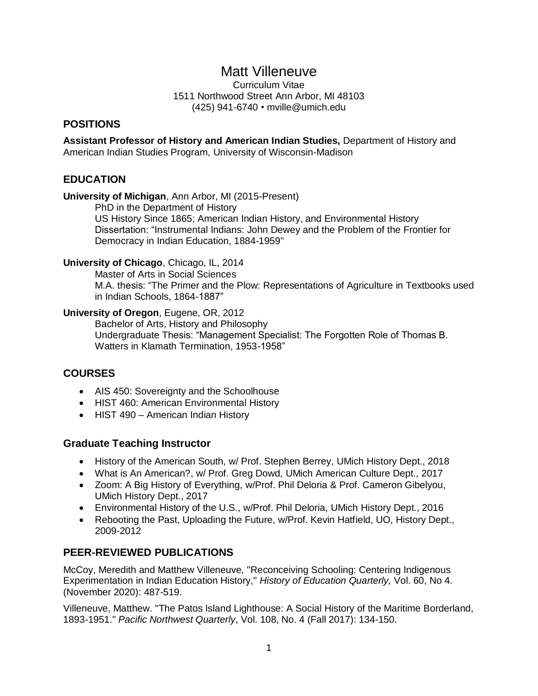# Matt Villeneuve

Curriculum Vitae 1511 Northwood Street Ann Arbor, MI 48103 (425) 941-6740 • mville@umich.edu

#### **POSITIONS**

**Assistant Professor of History and American Indian Studies,** Department of History and American Indian Studies Program, University of Wisconsin-Madison

# **EDUCATION**

**University of Michigan**, Ann Arbor, MI (2015-Present)

PhD in the Department of History US History Since 1865; American Indian History, and Environmental History Dissertation: "Instrumental Indians: John Dewey and the Problem of the Frontier for Democracy in Indian Education, 1884-1959"

#### **University of Chicago**, Chicago, IL, 2014

Master of Arts in Social Sciences M.A. thesis: "The Primer and the Plow: Representations of Agriculture in Textbooks used in Indian Schools, 1864-1887"

#### **University of Oregon**, Eugene, OR, 2012

Bachelor of Arts, History and Philosophy Undergraduate Thesis: "Management Specialist: The Forgotten Role of Thomas B. Watters in Klamath Termination, 1953-1958"

# **COURSES**

- AIS 450: Sovereignty and the Schoolhouse
- HIST 460: American Environmental History
- HIST 490 American Indian History

## **Graduate Teaching Instructor**

- History of the American South, w/ Prof. Stephen Berrey, UMich History Dept., 2018
- What is An American?, w/ Prof. Greg Dowd, UMich American Culture Dept., 2017
- Zoom: A Big History of Everything, w/Prof. Phil Deloria & Prof. Cameron Gibelyou, UMich History Dept., 2017
- Environmental History of the U.S., w/Prof. Phil Deloria, UMich History Dept., 2016
- Rebooting the Past, Uploading the Future, w/Prof. Kevin Hatfield, UO, History Dept., 2009-2012

## **PEER-REVIEWED PUBLICATIONS**

McCoy, Meredith and Matthew Villeneuve, "Reconceiving Schooling: Centering Indigenous Experimentation in Indian Education History," *History of Education Quarterly,* Vol. 60, No 4. (November 2020): 487-519.

Villeneuve, Matthew. "The Patos Island Lighthouse: A Social History of the Maritime Borderland, 1893-1951." *Pacific Northwest Quarterly*, Vol. 108, No. 4 (Fall 2017): 134-150.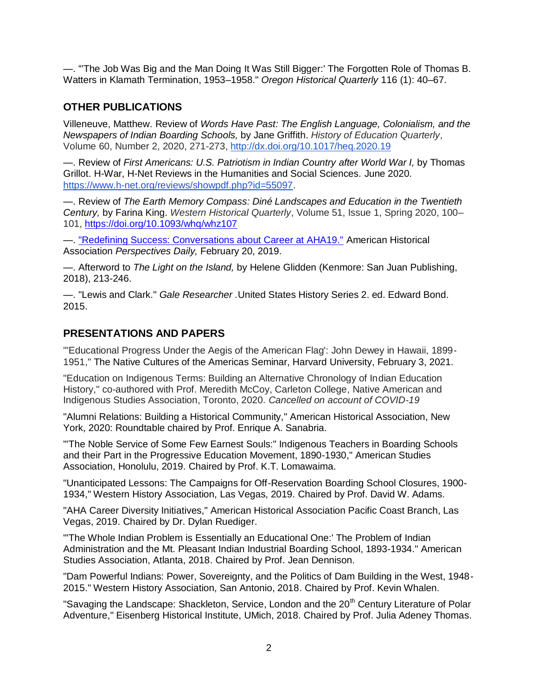—. "'The Job Was Big and the Man Doing It Was Still Bigger:' The Forgotten Role of Thomas B. Watters in Klamath Termination, 1953–1958." *Oregon Historical Quarterly* 116 (1): 40–67.

# **OTHER PUBLICATIONS**

Villeneuve, Matthew. Review of *Words Have Past: The English Language, Colonialism, and the Newspapers of Indian Boarding Schools,* by Jane Griffith. *History of Education Quarterly*, Volume 60, Number 2, 2020, 271-273,<http://dx.doi.org/10.1017/heq.2020.19>

—. Review of *First Americans: U.S. Patriotism in Indian Country after World War I,* by Thomas Grillot. H-War, H-Net Reviews in the Humanities and Social Sciences*.* June 2020. [https://www.h-net.org/reviews/showpdf.php?id=55097.](https://www.h-net.org/reviews/showpdf.php?id=55097)

—. Review of *The Earth Memory Compass: Diné Landscapes and Education in the Twentieth Century,* by Farina King. *Western Historical Quarterly*, Volume 51, Issue 1, Spring 2020, 100– 101, <https://doi.org/10.1093/whq/whz107>

—. ["Redefining Success: Conversations about Career at AHA19."](https://www.historians.org/publications-and-directories/perspectives-on-history/february-2019/redefining-success-conversations-about-career-at-aha19) American Historical Association *Perspectives Daily,* February 20, 2019.

—. Afterword to *The Light on the Island,* by Helene Glidden (Kenmore: San Juan Publishing, 2018), 213-246.

—. "Lewis and Clark." *Gale Researcher .*United States History Series 2. ed. Edward Bond. 2015.

## **PRESENTATIONS AND PAPERS**

"'Educational Progress Under the Aegis of the American Flag': John Dewey in Hawaii, 1899- 1951," The Native Cultures of the Americas Seminar, Harvard University, February 3, 2021.

"Education on Indigenous Terms: Building an Alternative Chronology of Indian Education History," co-authored with Prof. Meredith McCoy, Carleton College, Native American and Indigenous Studies Association, Toronto, 2020. *Cancelled on account of COVID-19*

"Alumni Relations: Building a Historical Community," American Historical Association, New York, 2020: Roundtable chaired by Prof. Enrique A. Sanabria.

"'The Noble Service of Some Few Earnest Souls:" Indigenous Teachers in Boarding Schools and their Part in the Progressive Education Movement, 1890-1930," American Studies Association, Honolulu, 2019. Chaired by Prof. K.T. Lomawaima.

"Unanticipated Lessons: The Campaigns for Off-Reservation Boarding School Closures, 1900- 1934," Western History Association, Las Vegas, 2019. Chaired by Prof. David W. Adams.

"AHA Career Diversity Initiatives," American Historical Association Pacific Coast Branch, Las Vegas, 2019. Chaired by Dr. Dylan Ruediger.

"'The Whole Indian Problem is Essentially an Educational One:' The Problem of Indian Administration and the Mt. Pleasant Indian Industrial Boarding School, 1893-1934." American Studies Association, Atlanta, 2018. Chaired by Prof. Jean Dennison.

"Dam Powerful Indians: Power, Sovereignty, and the Politics of Dam Building in the West, 1948- 2015." Western History Association, San Antonio, 2018. Chaired by Prof. Kevin Whalen.

"Savaging the Landscape: Shackleton, Service, London and the 20<sup>th</sup> Century Literature of Polar Adventure," Eisenberg Historical Institute, UMich, 2018. Chaired by Prof. Julia Adeney Thomas.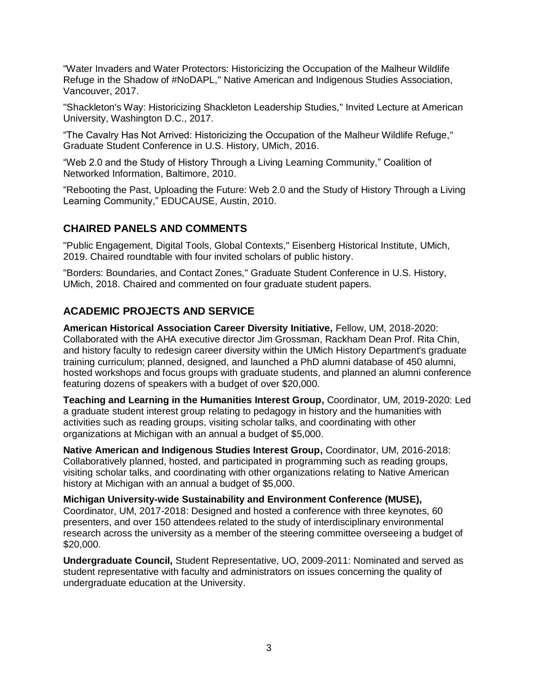"Water Invaders and Water Protectors: Historicizing the Occupation of the Malheur Wildlife Refuge in the Shadow of #NoDAPL," Native American and Indigenous Studies Association, Vancouver, 2017.

"Shackleton's Way: Historicizing Shackleton Leadership Studies," Invited Lecture at American University, Washington D.C., 2017.

"The Cavalry Has Not Arrived: Historicizing the Occupation of the Malheur Wildlife Refuge," Graduate Student Conference in U.S. History, UMich, 2016.

"Web 2.0 and the Study of History Through a Living Learning Community," Coalition of Networked Information, Baltimore, 2010.

"Rebooting the Past, Uploading the Future: Web 2.0 and the Study of History Through a Living Learning Community," EDUCAUSE, Austin, 2010.

# **CHAIRED PANELS AND COMMENTS**

"Public Engagement, Digital Tools, Global Contexts," Eisenberg Historical Institute, UMich, 2019. Chaired roundtable with four invited scholars of public history.

"Borders: Boundaries, and Contact Zones," Graduate Student Conference in U.S. History, UMich, 2018. Chaired and commented on four graduate student papers.

# **ACADEMIC PROJECTS AND SERVICE**

**American Historical Association Career Diversity Initiative,** Fellow, UM, 2018-2020: Collaborated with the AHA executive director Jim Grossman, Rackham Dean Prof. Rita Chin, and history faculty to redesign career diversity within the UMich History Department's graduate training curriculum; planned, designed, and launched a PhD alumni database of 450 alumni, hosted workshops and focus groups with graduate students, and planned an alumni conference featuring dozens of speakers with a budget of over \$20,000.

**Teaching and Learning in the Humanities Interest Group,** Coordinator, UM, 2019-2020: Led a graduate student interest group relating to pedagogy in history and the humanities with activities such as reading groups, visiting scholar talks, and coordinating with other organizations at Michigan with an annual a budget of \$5,000.

**Native American and Indigenous Studies Interest Group,** Coordinator, UM, 2016-2018: Collaboratively planned, hosted, and participated in programming such as reading groups, visiting scholar talks, and coordinating with other organizations relating to Native American history at Michigan with an annual a budget of \$5,000.

**Michigan University-wide Sustainability and Environment Conference (MUSE),**  Coordinator, UM, 2017-2018: Designed and hosted a conference with three keynotes, 60 presenters, and over 150 attendees related to the study of interdisciplinary environmental research across the university as a member of the steering committee overseeing a budget of \$20,000.

**Undergraduate Council,** Student Representative, UO, 2009-2011: Nominated and served as student representative with faculty and administrators on issues concerning the quality of undergraduate education at the University.